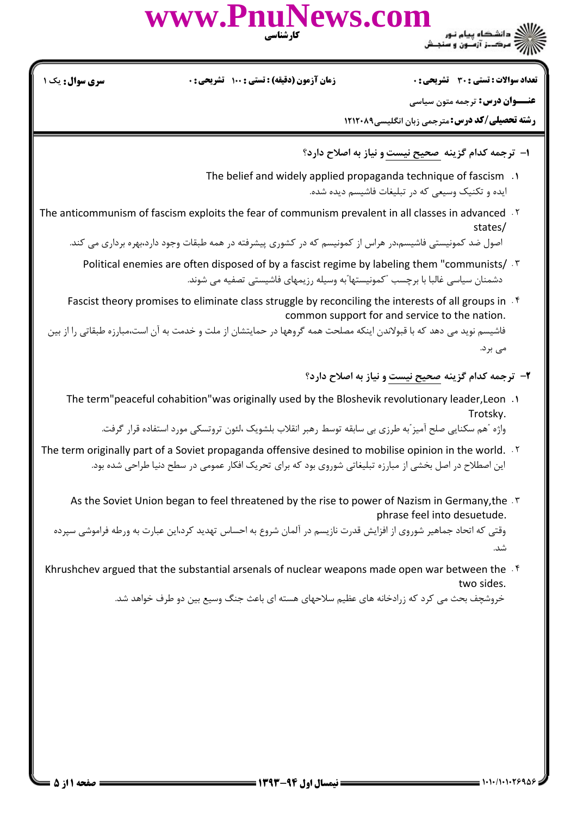www.PnuNews.com ی<br>ای دانشگاه پیام نور<br>از مرکــز آزمـون و سنجـش

**تعداد سوالات : تستی : 30 ٪ تشریحی : 0** 

**زمان آزمون (دقیقه) : تستی : 100 تشریحی: 0** 

**سری سوال :** یک ۱

**عنـــوان درس:** ترجمه متون سیاسی

**رشته تحصیلی/کد درس:** مترجمی زبان انگلیسی1۲۱۲۰۸۹

- ا- ترجمه کدام گزینه صحیح نیست و نیاز به اصلاح دارد؟
- The belief and widely applied propaganda technique of fascism. ایده و تکنیک وسیعی که در تبلیغات فاشیسم دیده شده.
- The anticommunism of fascism exploits the fear of communism prevalent in all classes in advanced. Y states/

اصول ضد کمونیستی فاشیسم،در هراس از کمونیسم که در کشوری پیشرفته در همه طبقات وجود دارد،بهره برداری می کند.

- Political enemies are often disposed of by a fascist regime by labeling them "communists/ . T دشمنان سیاسی غالبا با برچسب "کمونیستها"به وسیله رزیمهای فاشیستی تصفیه می شوند.
- Fascist theory promises to eliminate class struggle by reconciling the interests of all groups in . f common support for and service to the nation.

فاشیسم نوید می دهد که با قبولاندن اینکه مصلحت همه گروهها در حمایتشان از ملت و خدمت به آن است،مبارزه طبقاتی را از بین مى برد.

- ٢- ترجمه كدام گزينه صحيح نيست و نياز به اصلاح دارد؟
- 1. The term" peaceful cohabition" was originally used by the Bloshevik revolutionary leader, Leon Trotskv.

واژه آهم سکنایی صلح آمیز ًبه طرزی بی سابقه توسط رهبر انقلاب بلشویک ،لئون تروتسکی مورد استفاده قرار گرفت.

- The term originally part of a Soviet propaganda offensive desined to mobilise opinion in the world. T این اصطلاح در اصل بخشی از مبارزه تبلیغاتی شوروی بود که برای تحریک افکار عمومی در سطح دنیا طراحی شده بود.
	- As the Soviet Union began to feel threatened by the rise to power of Nazism in Germany, the . T phrase feel into desuetude.

وقتی که اتحاد جماهیر شوروی از افزایش قدرت نازیسم در آلمان شروع به احساس تهدید کرد،این عبارت به ورطه فراموشی سپرده شد.

Khrushchev argued that the substantial arsenals of nuclear weapons made open war between the F two sides.

خروشچف بحث می کرد که زرادخانه های عظیم سلاحهای هسته ای باعث جنگ وسیع بین دو طرف خواهد شد.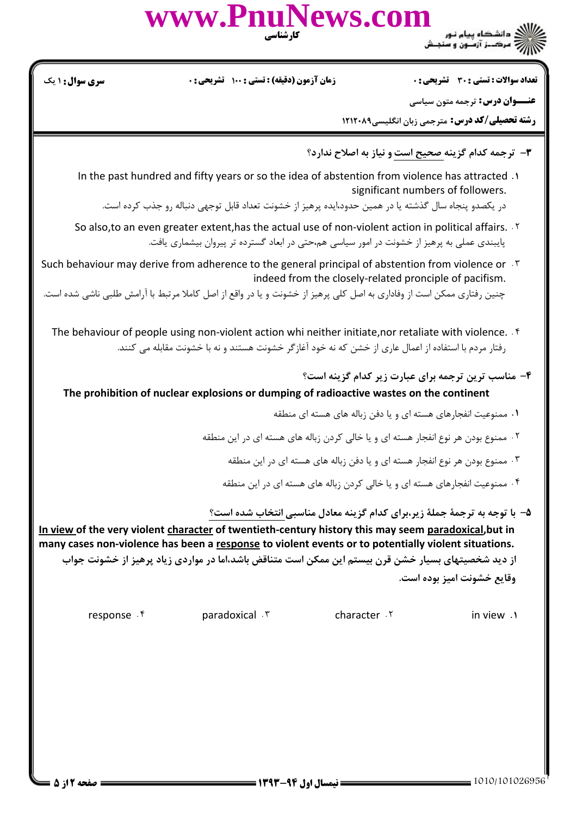

**تعداد سوالات : تستي : 30 تشريحي : . . ي صحي التصافي التشريحي : 30 تشريحي : . و تشريحي التصوي** سوا**ل :** ( يك : : : : :

**عنـــوان درس:** ترجمه متون سیاسی

**رشته تحصیلی/کد درس:** مترجمی زبان انگلیسی1۲۱۲۰۸۹

- ۳- ترجمه کدام گزینه صحیح است و نیاز به اصلاح ندارد؟
- In the past hundred and fifty years or so the idea of abstention from violence has attracted . significant numbers of followers.

در يكصدو پنجاه سال گذشته يا در همين حدود،ايده پرهيز از خشونت تعداد قابل توجهي دنباله رو جذب كرده است.

- So also,to an even greater extent,has the actual use of non-violent action in political affairs. C پایبندی عملی به پرهیز از خشونت در امور سیاسی هم،حتی در ابعاد گسترده تر پیروان بیشماری یافت.
- Such behaviour may derive from adherence to the general principal of abstention from violence or D indeed from the closely-related pronciple of pacifism.

چنین رفتاری ممکن است از وفاداری به اصل کلی پرهیز از خشونت و یا در واقع از اصل کاملا مرتبط با آرامش طلبی ناشی شده است.

- The behaviour of people using non-violent action whi neither initiate, nor retaliate with violence.  $\cdot$ <sup>6</sup> رفتار مردم با استفاده از اعمال عاری از خشن که نه خود آغازگر خشونت هستند و نه با خشونت مقابله می کنند.
	- ۴- مناسب ترین ترجمه برای عبارت زیر کدام گزینه است؟

## The prohibition of nuclear explosions or dumping of radioactive wastes on the continent

- ۰۱ ممنوعیت انفجارهای هسته ای و یا دفن زباله های هسته ای منطقه
- ۰۲ ممنوع بودن هر نوع انفجار هسته ای و یا خالی کردن زباله های هسته ای در این منطقه
	- ۰۳ ممنوع بودن هر نوع انفجار هسته ای و یا دفن زباله های هسته ای در این منطقه
	- ۴ . ممنوعیت انفجارهای هسته ای و یا خالی کردن زباله های هسته ای در این منطقه

## ۵– با توجه به ترجمهٔ جملهٔ زیر،برای کدام گزینه معادل مناسبی انتخاب شده است؟

In view of the very violent character of twentieth-century history this may seem paradoxical,but in many cases non-violence has been a response to violent events or to potentially violent situations. از دید شخصیتهای بسیار خشن قرن بیستم این ممکن است متناقض باشد،اما در مواردی زیاد پرهیز از خشونت جواب وقايع خشونت اميز بوده است.

response  $f$  paradoxical  $f$  character in view  $\cdot$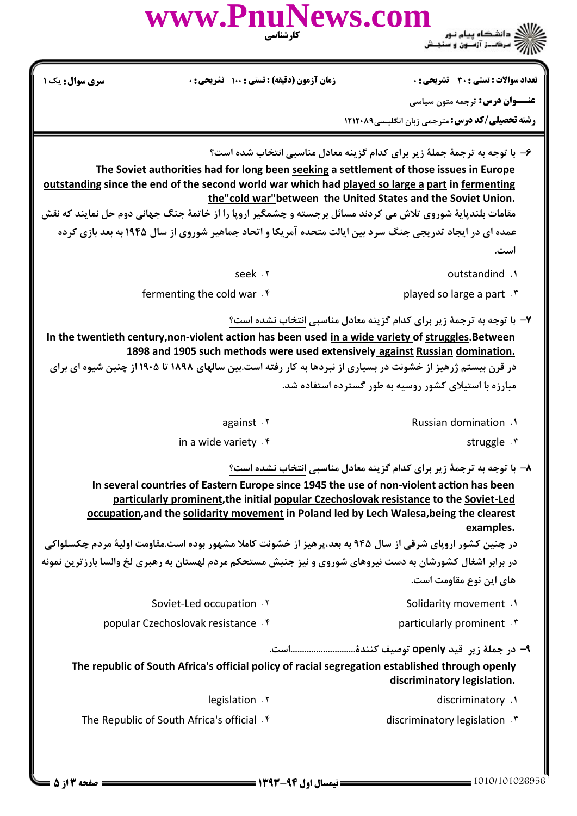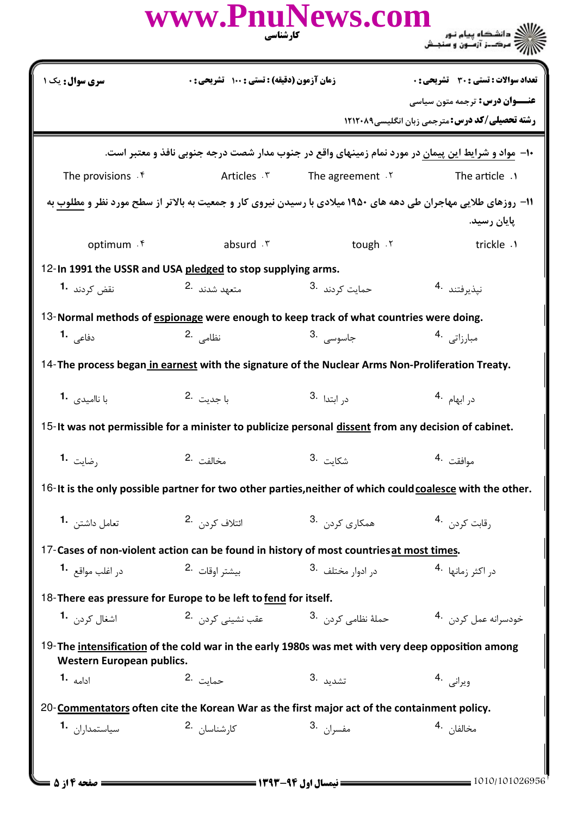|                                                                                                                                       | www.PnuNews.com<br>کارشناسی                 |                                                      | ///کے دانشگاہ پیام نور<br>/////// مرکــز آزمـون و سنجـش                                                                               |  |  |
|---------------------------------------------------------------------------------------------------------------------------------------|---------------------------------------------|------------------------------------------------------|---------------------------------------------------------------------------------------------------------------------------------------|--|--|
| سری سوال: یک ۱                                                                                                                        | زمان آزمون (دقیقه) : تستی : ۱۰۰٪ تشریحی : ۰ |                                                      | <b>تعداد سوالات : تستی : 30 ٪ تشریحی : 0</b>                                                                                          |  |  |
|                                                                                                                                       |                                             |                                                      | <b>عنـــوان درس:</b> ترجمه متون سیاسی                                                                                                 |  |  |
|                                                                                                                                       |                                             |                                                      | <b>رشته تحصیلی/کد درس: مترجمی زبان انگلیسی1۲۱۲۰۸۹</b>                                                                                 |  |  |
| ∙۱− مواد و شرایط این پیمان در مورد نمام زمینهای واقع در جنوب مدار شصت درجه جنوبی نافذ و معتبر است.                                    |                                             |                                                      |                                                                                                                                       |  |  |
| The provisions . f                                                                                                                    | Articles . ٣                                | The agreement $.7$                                   | The article .1                                                                                                                        |  |  |
|                                                                                                                                       |                                             |                                                      | 11- روزهای طلایی مهاجران طی دهه های ۱۹۵۰ میلادی با رسیدن نیروی کار و جمعیت به بالاتر از سطح مورد نظر و <u>مطلوب</u> به<br>يايان رسيد. |  |  |
| optimum . ۴                                                                                                                           | absurd . ٣                                  | tough . Y                                            | trickle .1                                                                                                                            |  |  |
| 12-In 1991 the USSR and USA pledged to stop supplying arms.                                                                           |                                             |                                                      |                                                                                                                                       |  |  |
| نقض کردند <b>1</b> ۰                                                                                                                  | متعهد شدند 2.                               | حمایت کردند <sup>.3</sup>                            | نپذيرفتند 4                                                                                                                           |  |  |
| 13-Normal methods of espionage were enough to keep track of what countries were doing.                                                |                                             |                                                      |                                                                                                                                       |  |  |
| دفاعی <b>1</b> ۰                                                                                                                      | نظامی 2.                                    | جاسوسى .3                                            | مبارزاتی <sup>.4</sup>                                                                                                                |  |  |
| 14- The process began in earnest with the signature of the Nuclear Arms Non-Proliferation Treaty.                                     |                                             |                                                      |                                                                                                                                       |  |  |
| با ناامیدی 1.                                                                                                                         | با جدىت .2                                  | د <sub>ر</sub> ابتدا <sup>.3</sup>                   | در ابهام <sup>.4</sup>                                                                                                                |  |  |
| 15- It was not permissible for a minister to publicize personal dissent from any decision of cabinet.                                 |                                             |                                                      |                                                                                                                                       |  |  |
| رضايت 1.                                                                                                                              | مخالفت 2.                                   | 3. شكايت.                                            | موافقت 4.                                                                                                                             |  |  |
| 16-It is the only possible partner for two other parties, neither of which could coalesce with the other.                             |                                             |                                                      |                                                                                                                                       |  |  |
| تعامل داشتن 1.                                                                                                                        | ائتلاف کردن .2                              | همکاری کردن .3                                       | رقابت کردن . 4                                                                                                                        |  |  |
| 17-Cases of non-violent action can be found in history of most countries at most times.                                               |                                             |                                                      |                                                                                                                                       |  |  |
| د <sub>ر</sub> اغلب مواقع <b>1</b> ۰                                                                                                  | بيشتر اوقات 2.                              | د <sub>ر</sub> ادوا <sub>ر</sub> مختلف <sup>.3</sup> | د <sub>ر</sub> اکثر زمانها <sup>.4</sup>                                                                                              |  |  |
| 18-There eas pressure for Europe to be left to fend for itself.                                                                       |                                             |                                                      |                                                                                                                                       |  |  |
| اشغال کردن <b>1</b> ۰                                                                                                                 | عقب نشین <i>ی</i> کردن 2.                   | حملهٔ نظامی کردن <sup>.3</sup>                       | خودسرانه عمل کردن۔ <sup>4</sup> ۰                                                                                                     |  |  |
| 19-The intensification of the cold war in the early 1980s was met with very deep opposition among<br><b>Western European publics.</b> |                                             |                                                      |                                                                                                                                       |  |  |
| ادامه <b>1۰</b>                                                                                                                       | حمايت 2.                                    | 3. تشدىد                                             | ويرانى .4                                                                                                                             |  |  |
| 20-Commentators often cite the Korean War as the first major act of the containment policy.                                           |                                             |                                                      |                                                                                                                                       |  |  |
| سياستمدا <sub>د</sub> ان <b>-1</b>                                                                                                    | كا <sub>ر</sub> شناسان 2.                   | مفسران 3.                                            | مخالفا <sub>ن</sub> .4                                                                                                                |  |  |
|                                                                                                                                       |                                             |                                                      |                                                                                                                                       |  |  |